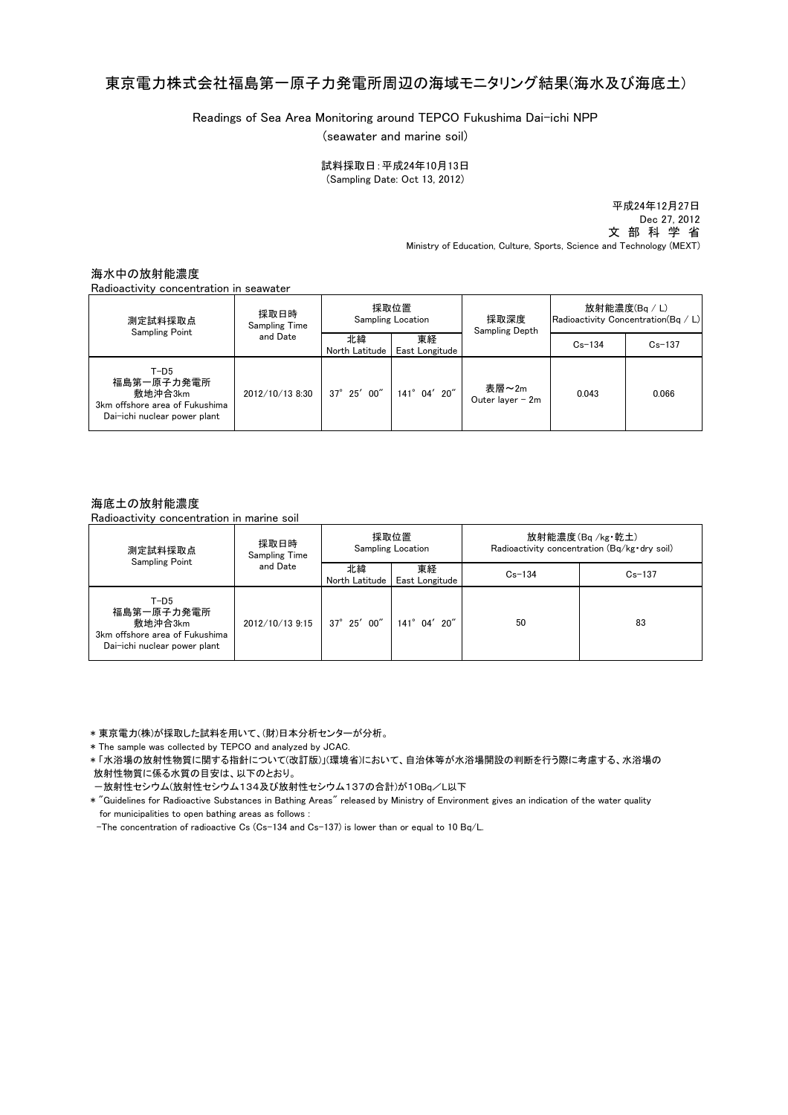## 東京電力株式会社福島第一原子力発電所周辺の海域モニタリング結果(海水及び海底土)

Readings of Sea Area Monitoring around TEPCO Fukushima Dai-ichi NPP

(seawater and marine soil)

(Sampling Date: Oct 13, 2012) 試料採取日:平成24年10月13日

> 平成24年12月27日 Dec 27, 2012 文 部 科 学 省 Ministry of Education, Culture, Sports, Science and Technology (MEXT)

海水中の放射能濃度

Radioactivity concentration in seawater

| 測定試料採取点<br><b>Sampling Point</b>                                                                  | 採取日時<br><b>Sampling Time</b><br>and Date | 採取位置<br><b>Sampling Location</b> |                      | 採取深度<br>Sampling Depth    | 放射能濃度(Bq / L)<br>Radioactivity Concentration(Bq / L) |            |
|---------------------------------------------------------------------------------------------------|------------------------------------------|----------------------------------|----------------------|---------------------------|------------------------------------------------------|------------|
|                                                                                                   |                                          | 北緯<br>North Latitude             | 東経<br>East Longitude |                           | $Cs - 134$                                           | $Cs - 137$ |
| $T-D5$<br>福島第一原子力発電所<br>敷地沖合3km<br>3km offshore area of Fukushima<br>Dai-ichi nuclear power plant | 2012/10/13 8:30                          | $37^{\circ}$ 25' 00"             | 141° 04' 20"         | 表層~2m<br>Outer layer - 2m | 0.043                                                | 0.066      |

## 海底土の放射能濃度

Radioactivity concentration in marine soil

| 測定試料採取点<br><b>Sampling Point</b>                                                                  | 採取日時<br>Sampling Time<br>and Date | 採取位置<br><b>Sampling Location</b> |                       | 放射能濃度(Bq/kg·乾土)<br>Radioactivity concentration (Bq/kg · dry soil) |            |
|---------------------------------------------------------------------------------------------------|-----------------------------------|----------------------------------|-----------------------|-------------------------------------------------------------------|------------|
|                                                                                                   |                                   | 北緯<br>North Latitude             | 東経<br>East Longitude  | $Cs - 134$                                                        | $Cs - 137$ |
| $T-D5$<br>福島第一原子力発電所<br>敷地沖合3km<br>3km offshore area of Fukushima<br>Dai-ichi nuclear power plant | 2012/10/13 9:15                   | $37^{\circ}$ 25' 00"             | $141^{\circ}$ 04' 20" | 50                                                                | 83         |

\* 東京電力(株)が採取した試料を用いて、(財)日本分析センターが分析。

\* The sample was collected by TEPCO and analyzed by JCAC.

\* 「水浴場の放射性物質に関する指針について(改訂版)」(環境省)において、自治体等が水浴場開設の判断を行う際に考慮する、水浴場の 放射性物質に係る水質の目安は、以下のとおり。

-放射性セシウム(放射性セシウム134及び放射性セシウム137の合計)が10Bq/L以下

\* "Guidelines for Radioactive Substances in Bathing Areas" released by Ministry of Environment gives an indication of the water quality for municipalities to open bathing areas as follows :

-The concentration of radioactive Cs (Cs-134 and Cs-137) is lower than or equal to 10 Bq/L.